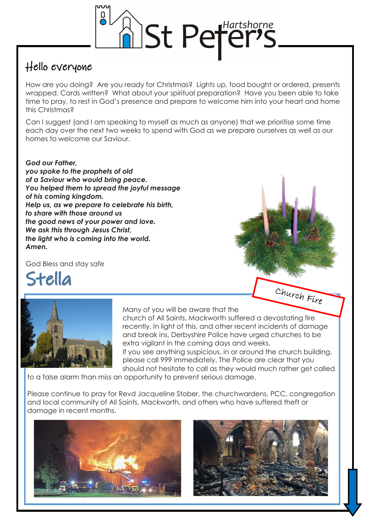

## Hello everyone

How are you doing? Are you ready for Christmas? Lights up, food bought or ordered, presents wrapped. Cards written? What about your spiritual preparation? Have you been able to take time to pray, to rest in God's presence and prepare to welcome him into your heart and home this Christmas?

Can I suggest (and I am speaking to myself as much as anyone) that we prioritise some time each day over the next two weeks to spend with God as we prepare ourselves as well as our homes to welcome our Saviour.

## *God our Father,*

*you spoke to the prophets of old of a Saviour who would bring peace. You helped them to spread the joyful message of his coming kingdom. Help us, as we prepare to celebrate his birth, to share with those around us the good news of your power and love. We ask this through Jesus Christ, the light who is coming into the world. Amen.*

God Bless and stay safe

Stella



Many of you will be aware that the

church of All Saints, Mackworth suffered a devastating fire recently. In light of this, and other recent incidents of damage and break ins, Derbyshire Police have urged churches to be extra vigilant in the coming days and weeks.

If you see anything suspicious, in or around the church building, please call 999 immediately. The Police are clear that you should not hesitate to call as they would much rather get called

to a false alarm than miss an opportunity to prevent serious damage.

Please continue to pray for Revd Jacqueline Stober, the churchwardens, PCC, congregation and local community of All Saints, Mackworth, and others who have suffered theft or damage in recent months.





Church Fire